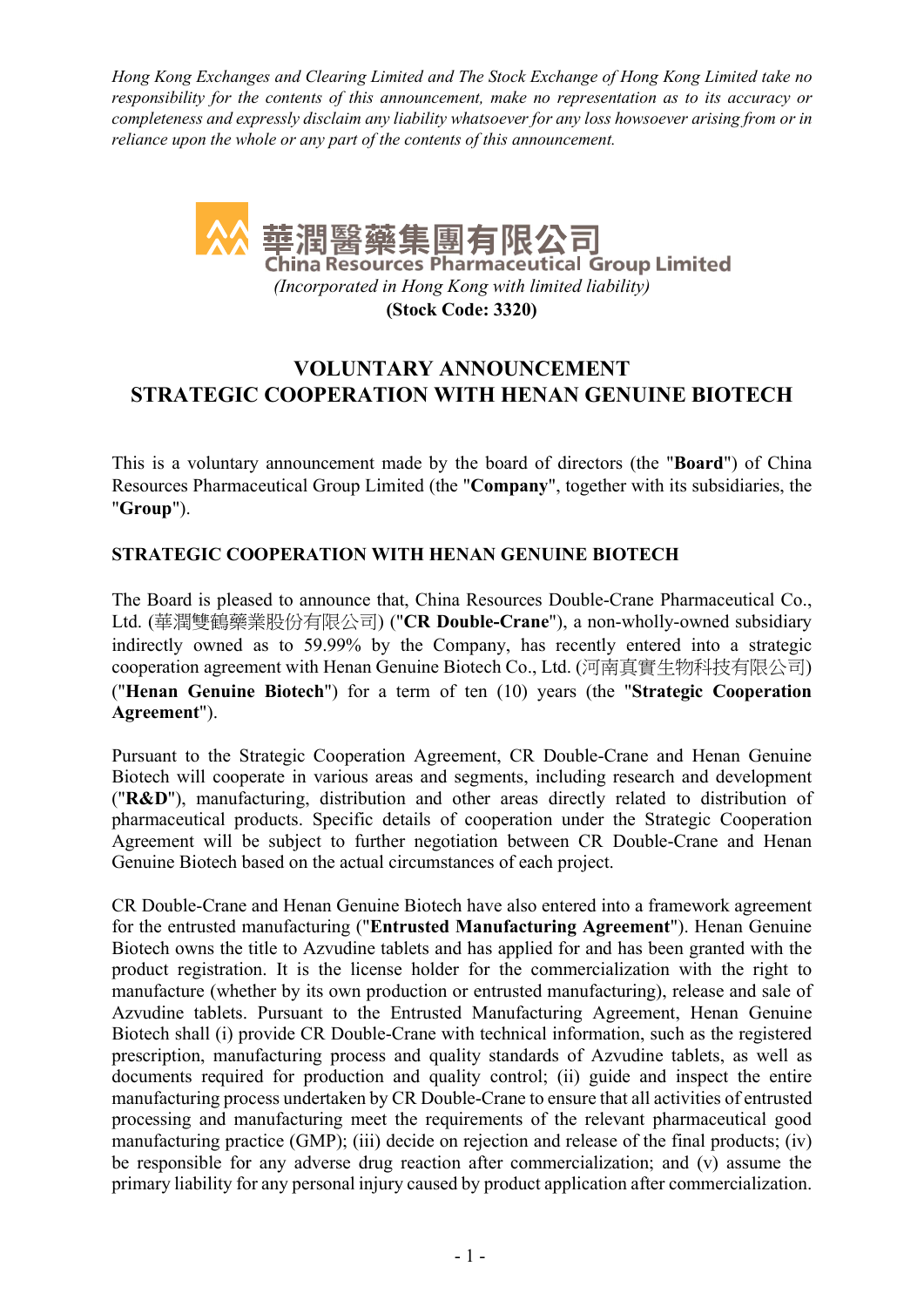Hong Kong Exchanges and Clearing Limited and The Stock Exchange of Hong Kong Limited take no responsibility for the contents of this announcement, make no representation as to its accuracy or completeness and expressly disclaim any liability whatsoever for any loss howsoever arising from or in reliance upon the whole or any part of the contents of this announcement.



# VOLUNTARY ANNOUNCEMENT STRATEGIC COOPERATION WITH HENAN GENUINE BIOTECH

This is a voluntary announcement made by the board of directors (the "Board") of China Resources Pharmaceutical Group Limited (the "Company", together with its subsidiaries, the "Group").

# STRATEGIC COOPERATION WITH HENAN GENUINE BIOTECH

The Board is pleased to announce that, China Resources Double-Crane Pharmaceutical Co., Ltd. (華潤雙鶴藥業股份有限公司) ("CR Double-Crane"), a non-wholly-owned subsidiary indirectly owned as to 59.99% by the Company, has recently entered into a strategic cooperation agreement with Henan Genuine Biotech Co., Ltd. (河南真實生物科技有限公司) ("Henan Genuine Biotech") for a term of ten (10) years (the "Strategic Cooperation Agreement").

Pursuant to the Strategic Cooperation Agreement, CR Double-Crane and Henan Genuine Biotech will cooperate in various areas and segments, including research and development ("R&D"), manufacturing, distribution and other areas directly related to distribution of pharmaceutical products. Specific details of cooperation under the Strategic Cooperation Agreement will be subject to further negotiation between CR Double-Crane and Henan Genuine Biotech based on the actual circumstances of each project.

CR Double-Crane and Henan Genuine Biotech have also entered into a framework agreement for the entrusted manufacturing ("Entrusted Manufacturing Agreement"). Henan Genuine Biotech owns the title to Azvudine tablets and has applied for and has been granted with the product registration. It is the license holder for the commercialization with the right to manufacture (whether by its own production or entrusted manufacturing), release and sale of Azvudine tablets. Pursuant to the Entrusted Manufacturing Agreement, Henan Genuine Biotech shall (i) provide CR Double-Crane with technical information, such as the registered prescription, manufacturing process and quality standards of Azvudine tablets, as well as documents required for production and quality control; (ii) guide and inspect the entire manufacturing process undertaken by CR Double-Crane to ensure that all activities of entrusted processing and manufacturing meet the requirements of the relevant pharmaceutical good manufacturing practice (GMP); (iii) decide on rejection and release of the final products; (iv) be responsible for any adverse drug reaction after commercialization; and (v) assume the primary liability for any personal injury caused by product application after commercialization.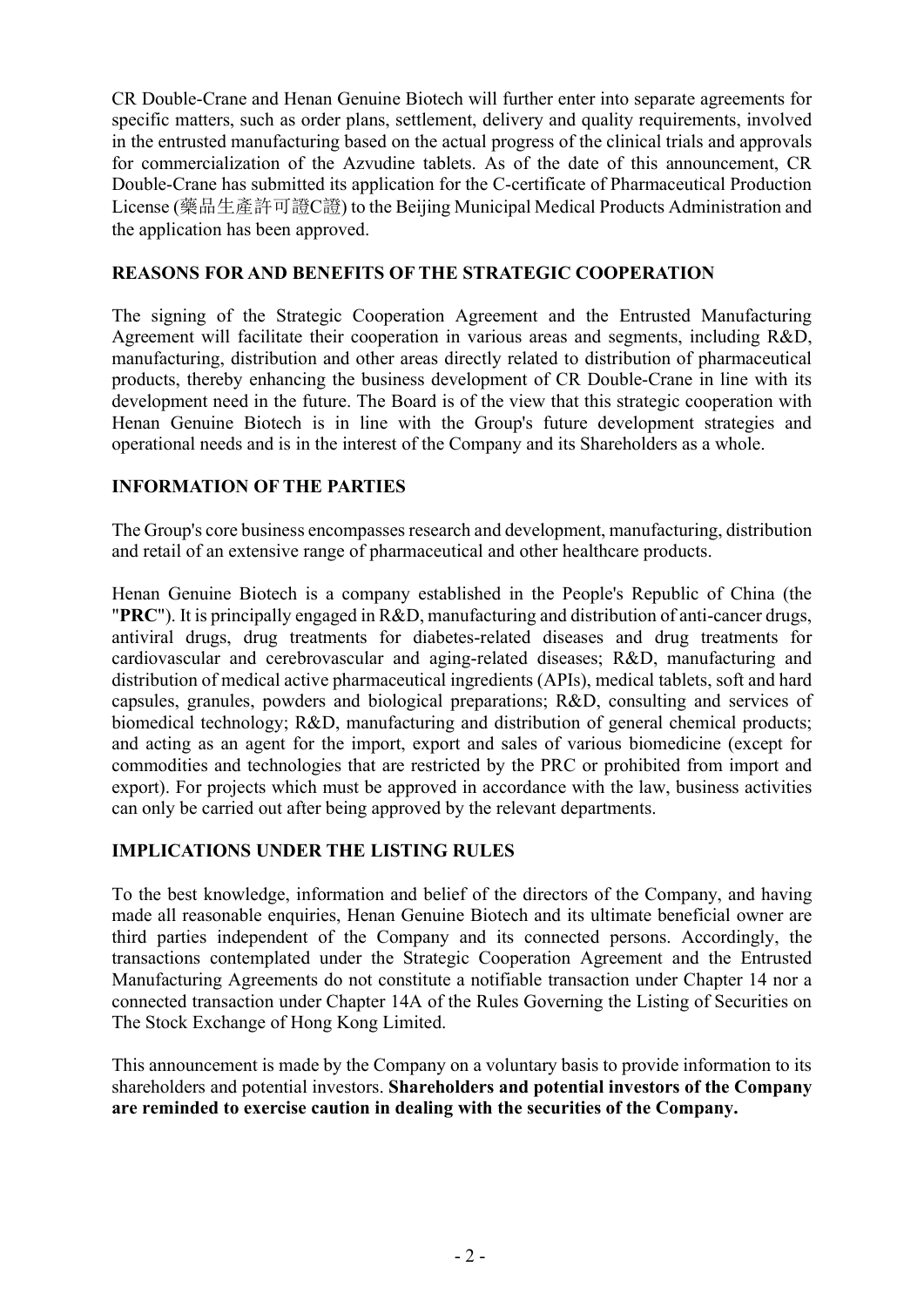CR Double-Crane and Henan Genuine Biotech will further enter into separate agreements for specific matters, such as order plans, settlement, delivery and quality requirements, involved in the entrusted manufacturing based on the actual progress of the clinical trials and approvals for commercialization of the Azvudine tablets. As of the date of this announcement, CR Double-Crane has submitted its application for the C-certificate of Pharmaceutical Production License (藥品生產許可證C證) to the Beijing Municipal Medical Products Administration and the application has been approved.

#### REASONS FOR AND BENEFITS OF THE STRATEGIC COOPERATION

The signing of the Strategic Cooperation Agreement and the Entrusted Manufacturing Agreement will facilitate their cooperation in various areas and segments, including R&D, manufacturing, distribution and other areas directly related to distribution of pharmaceutical products, thereby enhancing the business development of CR Double-Crane in line with its development need in the future. The Board is of the view that this strategic cooperation with Henan Genuine Biotech is in line with the Group's future development strategies and operational needs and is in the interest of the Company and its Shareholders as a whole.

# INFORMATION OF THE PARTIES

The Group's core business encompasses research and development, manufacturing, distribution and retail of an extensive range of pharmaceutical and other healthcare products.

Henan Genuine Biotech is a company established in the People's Republic of China (the "PRC"). It is principally engaged in R&D, manufacturing and distribution of anti-cancer drugs, antiviral drugs, drug treatments for diabetes-related diseases and drug treatments for cardiovascular and cerebrovascular and aging-related diseases; R&D, manufacturing and distribution of medical active pharmaceutical ingredients (APIs), medical tablets, soft and hard capsules, granules, powders and biological preparations; R&D, consulting and services of biomedical technology; R&D, manufacturing and distribution of general chemical products; and acting as an agent for the import, export and sales of various biomedicine (except for commodities and technologies that are restricted by the PRC or prohibited from import and export). For projects which must be approved in accordance with the law, business activities can only be carried out after being approved by the relevant departments.

### IMPLICATIONS UNDER THE LISTING RULES

To the best knowledge, information and belief of the directors of the Company, and having made all reasonable enquiries, Henan Genuine Biotech and its ultimate beneficial owner are third parties independent of the Company and its connected persons. Accordingly, the transactions contemplated under the Strategic Cooperation Agreement and the Entrusted Manufacturing Agreements do not constitute a notifiable transaction under Chapter 14 nor a connected transaction under Chapter 14A of the Rules Governing the Listing of Securities on The Stock Exchange of Hong Kong Limited.

This announcement is made by the Company on a voluntary basis to provide information to its shareholders and potential investors. Shareholders and potential investors of the Company are reminded to exercise caution in dealing with the securities of the Company.